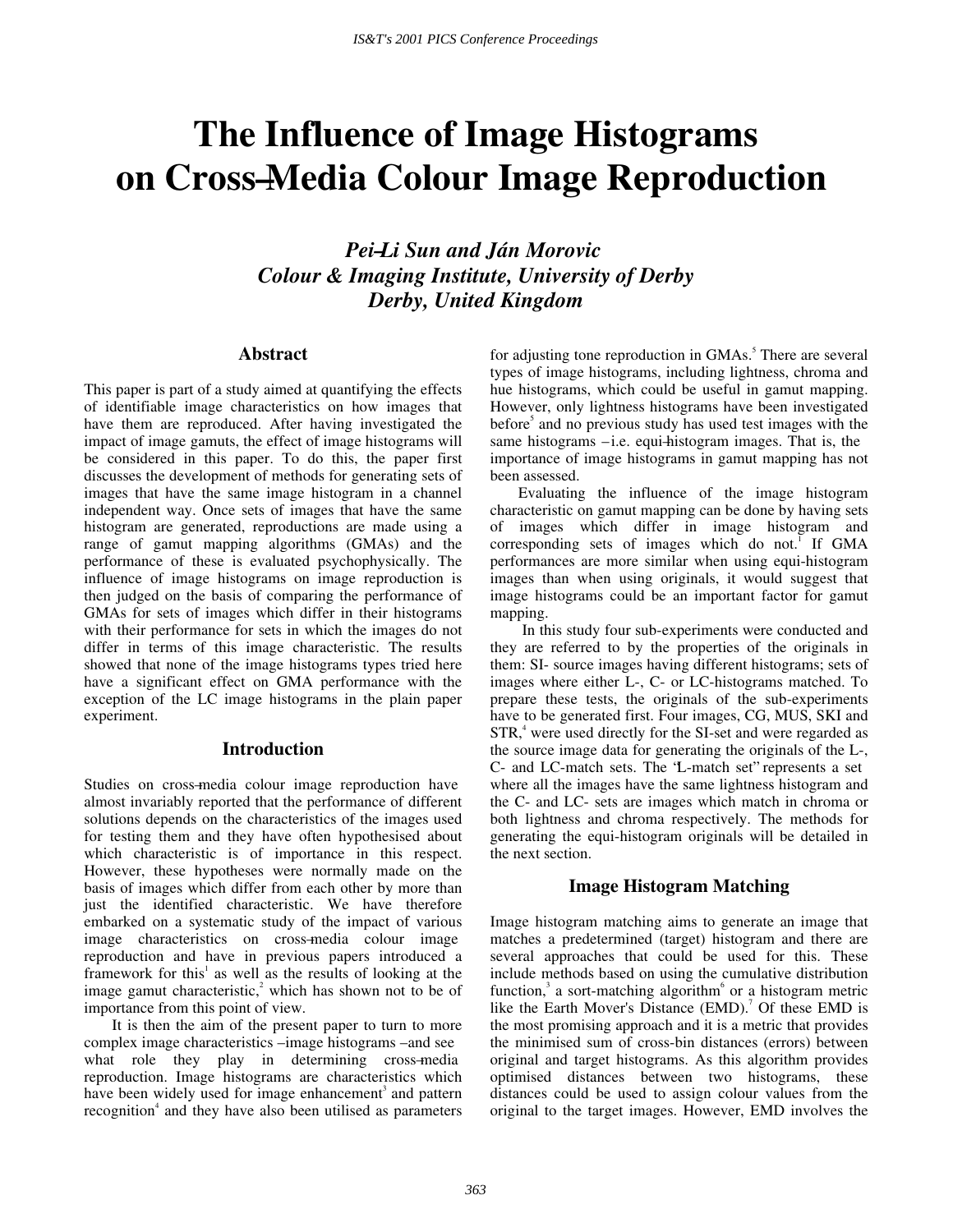# **The Influence of Image Histograms on Cross–Media Colour Image Reproduction**

## *Pei–Li Sun and Ján Morovic Colour & Imaging Institute, University of Derby Derby, United Kingdom*

#### **Abstract**

This paper is part of a study aimed at quantifying the effects of identifiable image characteristics on how images that have them are reproduced. After having investigated the impact of image gamuts, the effect of image histograms will be considered in this paper. To do this, the paper first discusses the development of methods for generating sets of images that have the same image histogram in a channel independent way. Once sets of images that have the same histogram are generated, reproductions are made using a range of gamut mapping algorithms (GMAs) and the performance of these is evaluated psychophysically. The influence of image histograms on image reproduction is then judged on the basis of comparing the performance of GMAs for sets of images which differ in their histograms with their performance for sets in which the images do not differ in terms of this image characteristic. The results showed that none of the image histograms types tried here have a significant effect on GMA performance with the exception of the LC image histograms in the plain paper experiment.

#### **Introduction**

Studies on cross–media colour image reproduction have almost invariably reported that the performance of different solutions depends on the characteristics of the images used for testing them and they have often hypothesised about which characteristic is of importance in this respect. However, these hypotheses were normally made on the basis of images which differ from each other by more than just the identified characteristic. We have therefore embarked on a systematic study of the impact of various image characteristics on cross–media colour image reproduction and have in previous papers introduced a framework for this<sup> $1$ </sup> as well as the results of looking at the image gamut characteristic, $2$  which has shown not to be of importance from this point of view.

It is then the aim of the present paper to turn to more complex image characteristics – image histograms – and see what role they play in determining cross–media reproduction. Image histograms are characteristics which have been widely used for image enhancement<sup>3</sup> and pattern recognition<sup>4</sup> and they have also been utilised as parameters

for adjusting tone reproduction in GMAs.<sup>5</sup> There are several types of image histograms, including lightness, chroma and hue histograms, which could be useful in gamut mapping. However, only lightness histograms have been investigated before<sup>5</sup> and no previous study has used test images with the same histograms – i.e. equi-histogram images. That is, the importance of image histograms in gamut mapping has not been assessed.

Evaluating the influence of the image histogram characteristic on gamut mapping can be done by having sets of images which differ in image histogram and corresponding sets of images which do not.<sup>1</sup> If GMA performances are more similar when using equi-histogram images than when using originals, it would suggest that image histograms could be an important factor for gamut mapping.

 In this study four sub-experiments were conducted and they are referred to by the properties of the originals in them: SI- source images having different histograms; sets of images where either L-, C- or LC-histograms matched. To prepare these tests, the originals of the sub-experiments have to be generated first. Four images, CG, MUS, SKI and STR,<sup>4</sup> were used directly for the SI-set and were regarded as the source image data for generating the originals of the L-, C- and LC-match sets. The "L-match set" represents a set where all the images have the same lightness histogram and the C- and LC- sets are images which match in chroma or both lightness and chroma respectively. The methods for generating the equi-histogram originals will be detailed in the next section.

#### **Image Histogram Matching**

Image histogram matching aims to generate an image that matches a predetermined (target) histogram and there are several approaches that could be used for this. These include methods based on using the cumulative distribution function,<sup>3</sup> a sort-matching algorithm<sup>6</sup> or a histogram metric like the Earth Mover's Distance  $(EMD)$ .<sup>7</sup> Of these EMD is the most promising approach and it is a metric that provides the minimised sum of cross-bin distances (errors) between original and target histograms. As this algorithm provides optimised distances between two histograms, these distances could be used to assign colour values from the original to the target images. However, EMD involves the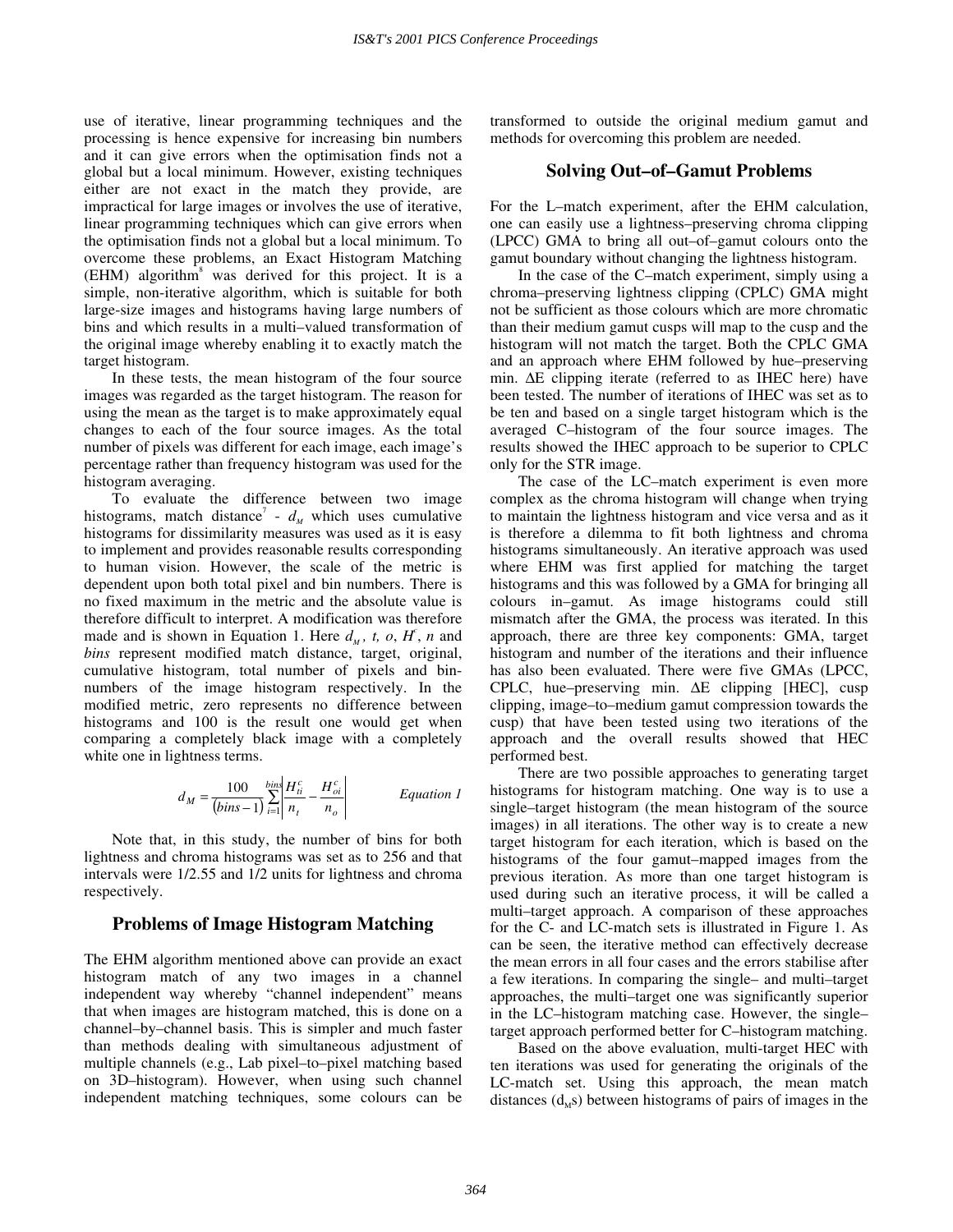use of iterative, linear programming techniques and the processing is hence expensive for increasing bin numbers and it can give errors when the optimisation finds not a global but a local minimum. However, existing techniques either are not exact in the match they provide, are impractical for large images or involves the use of iterative, linear programming techniques which can give errors when the optimisation finds not a global but a local minimum. To overcome these problems, an Exact Histogram Matching (EHM) algorithm<sup>8</sup> was derived for this project. It is a simple, non-iterative algorithm, which is suitable for both large-size images and histograms having large numbers of bins and which results in a multi–valued transformation of the original image whereby enabling it to exactly match the target histogram.

In these tests, the mean histogram of the four source images was regarded as the target histogram. The reason for using the mean as the target is to make approximately equal changes to each of the four source images. As the total number of pixels was different for each image, each image's percentage rather than frequency histogram was used for the histogram averaging.

To evaluate the difference between two image histograms, match distance<sup>7</sup> -  $d<sub>M</sub>$  which uses cumulative histograms for dissimilarity measures was used as it is easy to implement and provides reasonable results corresponding to human vision. However, the scale of the metric is dependent upon both total pixel and bin numbers. There is no fixed maximum in the metric and the absolute value is therefore difficult to interpret. A modification was therefore made and is shown in Equation 1. Here  $d_M$ , t, o,  $H^c$ , n and *bins* represent modified match distance, target, original, cumulative histogram, total number of pixels and binnumbers of the image histogram respectively. In the modified metric, zero represents no difference between histograms and 100 is the result one would get when comparing a completely black image with a completely white one in lightness terms.

$$
d_M = \frac{100}{(bins - 1)} \sum_{i=1}^{bins} \left| \frac{H_{ii}^c}{n_t} - \frac{H_{oi}^c}{n_o} \right|
$$
 Equation 1

Note that, in this study, the number of bins for both lightness and chroma histograms was set as to 256 and that intervals were 1/2.55 and 1/2 units for lightness and chroma respectively.

#### **Problems of Image Histogram Matching**

The EHM algorithm mentioned above can provide an exact histogram match of any two images in a channel independent way whereby "channel independent" means that when images are histogram matched, this is done on a channel–by–channel basis. This is simpler and much faster than methods dealing with simultaneous adjustment of multiple channels (e.g., Lab pixel–to–pixel matching based on 3D– histogram). However, when using such channel independent matching techniques, some colours can be

transformed to outside the original medium gamut and methods for overcoming this problem are needed.

#### **Solving Out–of–Gamut Problems**

For the L–match experiment, after the EHM calculation, one can easily use a lightness– preserving chroma clipping (LPCC) GMA to bring all out–of–gamut colours onto the gamut boundary without changing the lightness histogram.

In the case of the C–match experiment, simply using a chroma– preserving lightness clipping (CPLC) GMA might not be sufficient as those colours which are more chromatic than their medium gamut cusps will map to the cusp and the histogram will not match the target. Both the CPLC GMA and an approach where EHM followed by hue–preserving min. ∆E clipping iterate (referred to as IHEC here) have been tested. The number of iterations of IHEC was set as to be ten and based on a single target histogram which is the averaged C–histogram of the four source images. The results showed the IHEC approach to be superior to CPLC only for the STR image.

The case of the LC–match experiment is even more complex as the chroma histogram will change when trying to maintain the lightness histogram and vice versa and as it is therefore a dilemma to fit both lightness and chroma histograms simultaneously. An iterative approach was used where EHM was first applied for matching the target histograms and this was followed by a GMA for bringing all colours in– gamut. As image histograms could still mismatch after the GMA, the process was iterated. In this approach, there are three key components: GMA, target histogram and number of the iterations and their influence has also been evaluated. There were five GMAs (LPCC, CPLC, hue– preserving min. ∆E clipping [HEC], cusp clipping, image–to–medium gamut compression towards the cusp) that have been tested using two iterations of the approach and the overall results showed that HEC performed best.

There are two possible approaches to generating target histograms for histogram matching. One way is to use a single–target histogram (the mean histogram of the source images) in all iterations. The other way is to create a new target histogram for each iteration, which is based on the histograms of the four gamut–mapped images from the previous iteration. As more than one target histogram is used during such an iterative process, it will be called a multi– target approach. A comparison of these approaches for the C- and LC-match sets is illustrated in Figure 1. As can be seen, the iterative method can effectively decrease the mean errors in all four cases and the errors stabilise after a few iterations. In comparing the single– and multi–target approaches, the multi– target one was significantly superior in the LC–histogram matching case. However, the single– target approach performed better for C–histogram matching.

Based on the above evaluation, multi-target HEC with ten iterations was used for generating the originals of the LC-match set. Using this approach, the mean match distances  $(d_{\rm M}s)$  between histograms of pairs of images in the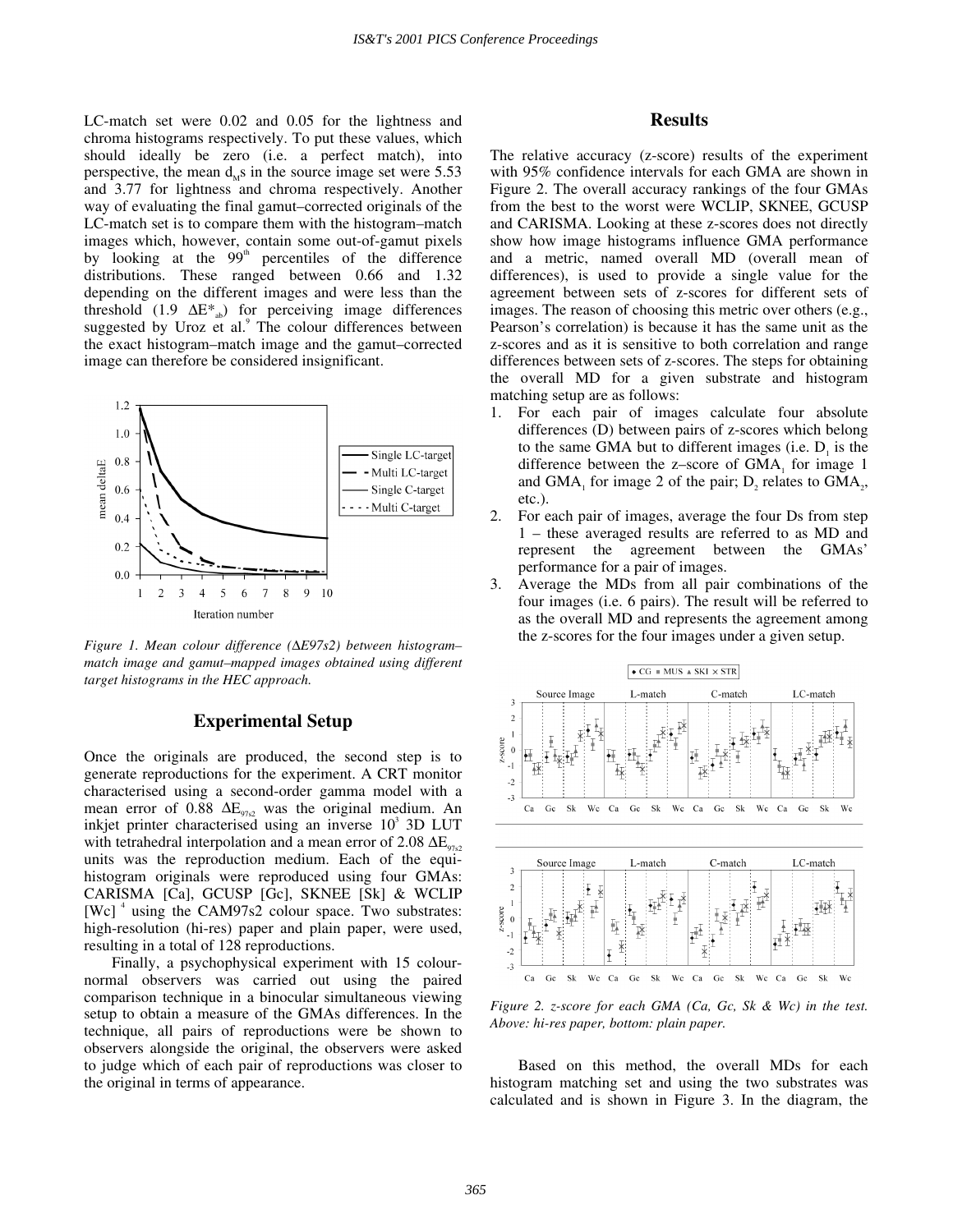LC-match set were 0.02 and 0.05 for the lightness and chroma histograms respectively. To put these values, which should ideally be zero (i.e. a perfect match), into perspective, the mean  $d_{\mu}$ s in the source image set were 5.53 and 3.77 for lightness and chroma respectively. Another way of evaluating the final gamut–corrected originals of the LC-match set is to compare them with the histogram–match images which, however, contain some out-of-gamut pixels by looking at the  $99<sup>th</sup>$  percentiles of the difference distributions. These ranged between 0.66 and 1.32 depending on the different images and were less than the threshold (1.9  $\Delta E^*$ <sub>ab</sub>) for perceiving image differences suggested by Uroz et al.<sup>9</sup> The colour differences between the exact histogram– match image and the gamut– corrected image can therefore be considered insignificant.



*Figure 1. Mean colour difference (*∆*E97s2) between histogram– match image and gamut–mapped images obtained using different target histograms in the HEC approach.* 

#### **Experimental Setup**

Once the originals are produced, the second step is to generate reproductions for the experiment. A CRT monitor characterised using a second-order gamma model with a mean error of 0.88  $\Delta E_{97s2}$  was the original medium. An inkjet printer characterised using an inverse  $10^3$  3D LUT with tetrahedral interpolation and a mean error of 2.08  $\Delta E_{9752}$ units was the reproduction medium. Each of the equihistogram originals were reproduced using four GMAs: CARISMA [Ca], GCUSP [Gc], SKNEE [Sk] & WCLIP [Wc]  $\textsuperscript{4}$  using the CAM97s2 colour space. Two substrates: high-resolution (hi-res) paper and plain paper, were used, resulting in a total of 128 reproductions.

Finally, a psychophysical experiment with 15 colournormal observers was carried out using the paired comparison technique in a binocular simultaneous viewing setup to obtain a measure of the GMAs differences. In the technique, all pairs of reproductions were be shown to observers alongside the original, the observers were asked to judge which of each pair of reproductions was closer to the original in terms of appearance.

#### **Results**

The relative accuracy (z-score) results of the experiment with 95% confidence intervals for each GMA are shown in Figure 2. The overall accuracy rankings of the four GMAs from the best to the worst were WCLIP, SKNEE, GCUSP and CARISMA. Looking at these z-scores does not directly show how image histograms influence GMA performance and a metric, named overall MD (overall mean of differences), is used to provide a single value for the agreement between sets of z-scores for different sets of images. The reason of choosing this metric over others (e.g., Pearson's correlation) is because it has the same unit as the z-scores and as it is sensitive to both correlation and range differences between sets of z-scores. The steps for obtaining the overall MD for a given substrate and histogram matching setup are as follows:

- 1. For each pair of images calculate four absolute differences (D) between pairs of z-scores which belong to the same GMA but to different images (i.e.  $D<sub>i</sub>$  is the difference between the z-score of  $GMA$ <sub>1</sub> for image 1 and GMA, for image 2 of the pair;  $D$ , relates to GMA<sub>2</sub>, etc.).
- 2. For each pair of images, average the four Ds from step 1 – these averaged results are referred to as MD and represent the agreement between the GMAs' performance for a pair of images.
- 3. Average the MDs from all pair combinations of the four images (i.e. 6 pairs). The result will be referred to as the overall MD and represents the agreement among the z-scores for the four images under a given setup.



*Figure 2. z-score for each GMA (Ca, Gc, Sk & Wc) in the test. Above: hi-res paper, bottom: plain paper.* 

Based on this method, the overall MDs for each histogram matching set and using the two substrates was calculated and is shown in Figure 3. In the diagram, the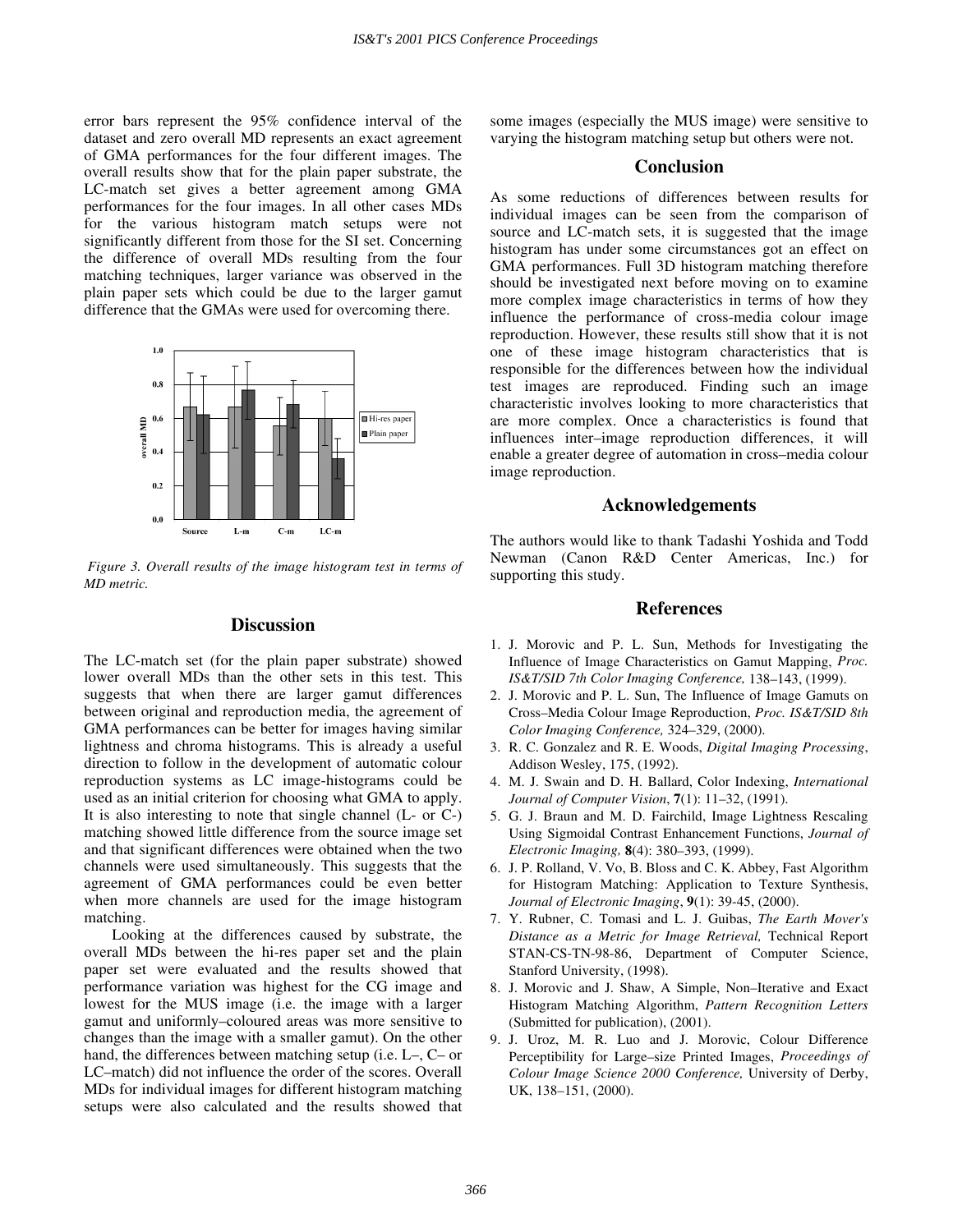error bars represent the 95% confidence interval of the dataset and zero overall MD represents an exact agreement of GMA performances for the four different images. The overall results show that for the plain paper substrate, the LC-match set gives a better agreement among GMA performances for the four images. In all other cases MDs for the various histogram match setups were not significantly different from those for the SI set. Concerning the difference of overall MDs resulting from the four matching techniques, larger variance was observed in the plain paper sets which could be due to the larger gamut difference that the GMAs were used for overcoming there.



 *Figure 3. Overall results of the image histogram test in terms of MD metric.* 

#### **Discussion**

The LC-match set (for the plain paper substrate) showed lower overall MDs than the other sets in this test. This suggests that when there are larger gamut differences between original and reproduction media, the agreement of GMA performances can be better for images having similar lightness and chroma histograms. This is already a useful direction to follow in the development of automatic colour reproduction systems as LC image-histograms could be used as an initial criterion for choosing what GMA to apply. It is also interesting to note that single channel (L- or C-) matching showed little difference from the source image set and that significant differences were obtained when the two channels were used simultaneously. This suggests that the agreement of GMA performances could be even better when more channels are used for the image histogram matching.

Looking at the differences caused by substrate, the overall MDs between the hi-res paper set and the plain paper set were evaluated and the results showed that performance variation was highest for the CG image and lowest for the MUS image (i.e. the image with a larger gamut and uniformly– coloured areas was more sensitive to changes than the image with a smaller gamut). On the other hand, the differences between matching setup (i.e.  $L<sub>-</sub>$ ,  $C<sub>-</sub>$  or LC– match) did not influence the order of the scores. Overall MDs for individual images for different histogram matching setups were also calculated and the results showed that some images (especially the MUS image) were sensitive to varying the histogram matching setup but others were not.

#### **Conclusion**

As some reductions of differences between results for individual images can be seen from the comparison of source and LC-match sets, it is suggested that the image histogram has under some circumstances got an effect on GMA performances. Full 3D histogram matching therefore should be investigated next before moving on to examine more complex image characteristics in terms of how they influence the performance of cross-media colour image reproduction. However, these results still show that it is not one of these image histogram characteristics that is responsible for the differences between how the individual test images are reproduced. Finding such an image characteristic involves looking to more characteristics that are more complex. Once a characteristics is found that influences inter–image reproduction differences, it will enable a greater degree of automation in cross–media colour image reproduction.

#### **Acknowledgements**

The authors would like to thank Tadashi Yoshida and Todd Newman (Canon R&D Center Americas, Inc.) for supporting this study.

#### **References**

- 1. J. Morovic and P. L. Sun, Methods for Investigating the Influence of Image Characteristics on Gamut Mapping, *Proc. IS&T/SID 7th Color Imaging Conference, 138-143, (1999).*
- 2. J. Morovic and P. L. Sun, The Influence of Image Gamuts on Cross– Media Colour Image Reproduction, *Proc. IS&T/SID 8th Color Imaging Conference,* 324– 329, (2000).
- 3. R. C. Gonzalez and R. E. Woods, *Digital Imaging Processing*, Addison Wesley, 175, (1992).
- 4. M. J. Swain and D. H. Ballard, Color Indexing, *International Journal of Computer Vision,* **7**(1): 11–32, (1991).
- 5. G. J. Braun and M. D. Fairchild, Image Lightness Rescaling Using Sigmoidal Contrast Enhancement Functions, *Journal of Electronic Imaging*, **8**(4): 380–393, (1999).
- 6. J. P. Rolland, V. Vo, B. Bloss and C. K. Abbey, Fast Algorithm for Histogram Matching: Application to Texture Synthesis, *Journal of Electronic Imaging*, **9**(1): 39-45, (2000).
- 7. Y. Rubner, C. Tomasi and L. J. Guibas, *The Earth Mover's Distance as a Metric for Image Retrieval,* Technical Report STAN-CS-TN-98-86, Department of Computer Science, Stanford University, (1998).
- 8. J. Morovic and J. Shaw, A Simple, Non-Iterative and Exact Histogram Matching Algorithm, *Pattern Recognition Letters* (Submitted for publication), (2001).
- 9. J. Uroz, M. R. Luo and J. Morovic, Colour Difference Perceptibility for Large–size Printed Images, *Proceedings of Colour Image Science 2000 Conference,* University of Derby, UK, 138-151, (2000).